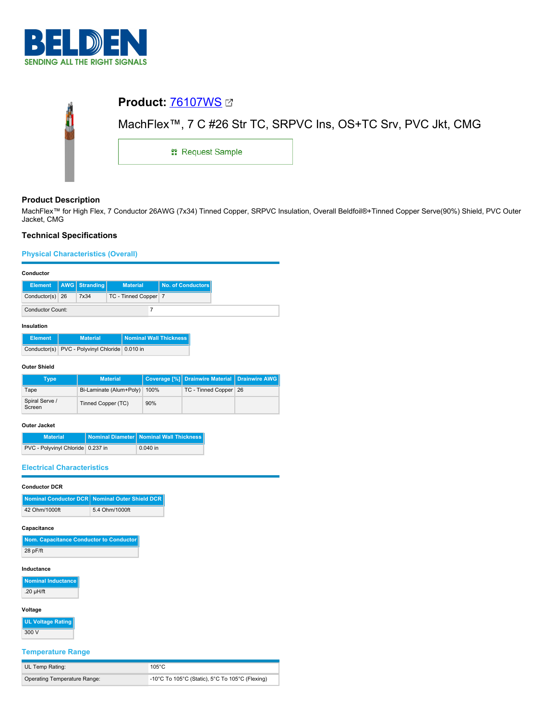

| <b>Product: 76107WS Ø</b>                                     |  |  |  |  |
|---------------------------------------------------------------|--|--|--|--|
| MachFlex™, 7 C #26 Str TC, SRPVC Ins, OS+TC Srv, PVC Jkt, CMG |  |  |  |  |
| <b>: Request Sample</b>                                       |  |  |  |  |
|                                                               |  |  |  |  |

# **Product Description**

MachFlex™ for High Flex, 7 Conductor 26AWG (7x34) Tinned Copper, SRPVC Insulation, Overall Beldfoil®+Tinned Copper Serve(90%) Shield, PVC Outer Jacket, CMG

# **Technical Specifications**

# **Physical Characteristics (Overall)**

| Conductor |
|-----------|
|-----------|

| vulluutul |                         |  |                           |                    |                   |
|-----------|-------------------------|--|---------------------------|--------------------|-------------------|
|           |                         |  | Element   AWG   Stranding | <b>Material</b>    | No. of Conductors |
|           | Conductor(s) $26$       |  | 7x34                      | TC - Tinned Copper |                   |
|           | <b>Conductor Count:</b> |  |                           |                    |                   |

### **Insulation**

| <b>Element</b> | <b>Material</b>                                | <b>Nominal Wall Thickness</b> |
|----------------|------------------------------------------------|-------------------------------|
|                | Conductor(s) PVC - Polyvinyl Chloride 0.010 in |                               |

### **Outer Shield**

| Type                     | <b>Material</b>         |      | Coverage [%] Drainwire Material Drainwire AWG |  |
|--------------------------|-------------------------|------|-----------------------------------------------|--|
| Tape                     | Bi-Laminate (Alum+Poly) | 100% | TC - Tinned Copper 26                         |  |
| Spiral Serve /<br>Screen | Tinned Copper (TC)      | 90%  |                                               |  |

### **Outer Jacket**

| <b>Material</b>                   | Nominal Diameter   Nominal Wall Thickness |
|-----------------------------------|-------------------------------------------|
| PVC - Polyvinyl Chloride 0.237 in | $0.040$ in                                |

### **Electrical Characteristics**

# **Conductor DCR**

|               | Nominal Conductor DCR Nominal Outer Shield DCR |
|---------------|------------------------------------------------|
| 42 Ohm/1000ft | 5.4 Ohm/1000ft                                 |

### **Capacitance**

| Nom. Capacitance Conductor to Conductor |
|-----------------------------------------|
| $28$ pF/ft                              |

### **Inductance**

**Nominal Inductance**  $.20 \mu H/ft$ 

# **Voltage**

**UL Voltage Rating**

# 300 V

# **Temperature Range**

| UL Temp Rating:              | 105°C                                                  |
|------------------------------|--------------------------------------------------------|
| Operating Temperature Range: | $\mid$ -10°C To 105°C (Static), 5°C To 105°C (Flexing) |